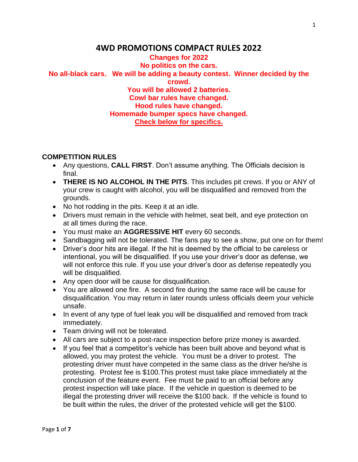# **4WD PROMOTIONS COMPACT RULES 2022**

### **Changes for 2022 No politics on the cars. No all-black cars. We will be adding a beauty contest. Winner decided by the crowd. You will be allowed 2 batteries. Cowl bar rules have changed. Hood rules have changed. Homemade bumper specs have changed. Check below for specifics.**

#### **COMPETITION RULES**

- Any questions, **CALL FIRST**. Don't assume anything. The Officials decision is final.
- **THERE IS NO ALCOHOL IN THE PITS**. This includes pit crews. If you or ANY of your crew is caught with alcohol, you will be disqualified and removed from the grounds.
- No hot rodding in the pits. Keep it at an idle.
- Drivers must remain in the vehicle with helmet, seat belt, and eye protection on at all times during the race.
- You must make an **AGGRESSIVE HIT** every 60 seconds.
- Sandbagging will not be tolerated. The fans pay to see a show, put one on for them!
- Driver's door hits are illegal. If the hit is deemed by the official to be careless or intentional, you will be disqualified. If you use your driver's door as defense, we will not enforce this rule. If you use your driver's door as defense repeatedly you will be disqualified.
- Any open door will be cause for disqualification.
- You are allowed one fire. A second fire during the same race will be cause for disqualification. You may return in later rounds unless officials deem your vehicle unsafe.
- In event of any type of fuel leak you will be disqualified and removed from track immediately.
- Team driving will not be tolerated.
- All cars are subject to a post-race inspection before prize money is awarded.
- If you feel that a competitor's vehicle has been built above and beyond what is allowed, you may protest the vehicle. You must be a driver to protest. The protesting driver must have competed in the same class as the driver he/she is protesting. Protest fee is \$100.This protest must take place immediately at the conclusion of the feature event. Fee must be paid to an official before any protest inspection will take place. If the vehicle in question is deemed to be illegal the protesting driver will receive the \$100 back. If the vehicle is found to be built within the rules, the driver of the protested vehicle will get the \$100.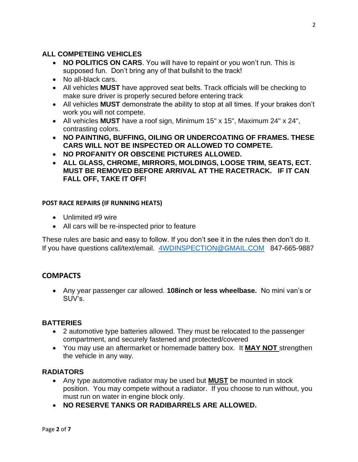## **ALL COMPETEING VEHICLES**

- **NO POLITICS ON CARS**. You will have to repaint or you won't run. This is supposed fun. Don't bring any of that bullshit to the track!
- No all-black cars.
- All vehicles **MUST** have approved seat belts. Track officials will be checking to make sure driver is properly secured before entering track
- All vehicles **MUST** demonstrate the ability to stop at all times. If your brakes don't work you will not compete.
- All vehicles **MUST** have a roof sign, Minimum 15" x 15", Maximum 24" x 24", contrasting colors.
- **NO PAINTING, BUFFING, OILING OR UNDERCOATING OF FRAMES. THESE CARS WILL NOT BE INSPECTED OR ALLOWED TO COMPETE.**
- **NO PROFANITY OR OBSCENE PICTURES ALLOWED.**
- **ALL GLASS, CHROME, MIRRORS, MOLDINGS, LOOSE TRIM, SEATS, ECT. MUST BE REMOVED BEFORE ARRIVAL AT THE RACETRACK. IF IT CAN FALL OFF, TAKE IT OFF!**

### **POST RACE REPAIRS (IF RUNNING HEATS)**

- Unlimited #9 wire
- All cars will be re-inspected prior to feature

These rules are basic and easy to follow. If you don't see it in the rules then don't do it. If you have questions call/text/email. [4WDINSPECTION@GMAIL.COM](mailto:4WDINSPECTION@GMAIL.COM) 847-665-9887

## **COMPACTS**

• Any year passenger car allowed. **108inch or less wheelbase.** No mini van's or SUV's.

## **BATTERIES**

- 2 automotive type batteries allowed. They must be relocated to the passenger compartment, and securely fastened and protected/covered
- You may use an aftermarket or homemade battery box. It **MAY NOT** strengthen the vehicle in any way.

## **RADIATORS**

- Any type automotive radiator may be used but **MUST** be mounted in stock position. You may compete without a radiator. If you choose to run without, you must run on water in engine block only.
- **NO RESERVE TANKS OR RADIBARRELS ARE ALLOWED.**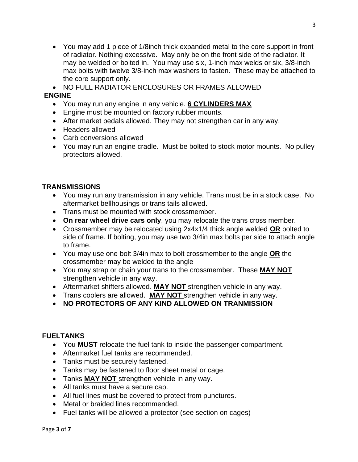- You may add 1 piece of 1/8inch thick expanded metal to the core support in front of radiator. Nothing excessive. May only be on the front side of the radiator. It may be welded or bolted in. You may use six, 1-inch max welds or six, 3/8-inch max bolts with twelve 3/8-inch max washers to fasten. These may be attached to the core support only.
- NO FULL RADIATOR ENCLOSURES OR FRAMES ALLOWED

#### **ENGINE**

- You may run any engine in any vehicle. **6 CYLINDERS MAX**
- Engine must be mounted on factory rubber mounts.
- After market pedals allowed. They may not strengthen car in any way.
- Headers allowed
- Carb conversions allowed
- You may run an engine cradle. Must be bolted to stock motor mounts. No pulley protectors allowed.

### **TRANSMISSIONS**

- You may run any transmission in any vehicle. Trans must be in a stock case. No aftermarket bellhousings or trans tails allowed.
- Trans must be mounted with stock crossmember.
- **On rear wheel drive cars only**, you may relocate the trans cross member.
- Crossmember may be relocated using 2x4x1/4 thick angle welded **OR** bolted to side of frame. If bolting, you may use two 3/4in max bolts per side to attach angle to frame.
- You may use one bolt 3/4in max to bolt crossmember to the angle **OR** the crossmember may be welded to the angle
- You may strap or chain your trans to the crossmember. These **MAY NOT**  strengthen vehicle in any way.
- Aftermarket shifters allowed. **MAY NOT** strengthen vehicle in any way.
- Trans coolers are allowed. **MAY NOT** strengthen vehicle in any way.
- **NO PROTECTORS OF ANY KIND ALLOWED ON TRANMISSION**

#### **FUELTANKS**

- You **MUST** relocate the fuel tank to inside the passenger compartment.
- Aftermarket fuel tanks are recommended.
- Tanks must be securely fastened.
- Tanks may be fastened to floor sheet metal or cage.
- Tanks **MAY NOT** strengthen vehicle in any way.
- All tanks must have a secure cap.
- All fuel lines must be covered to protect from punctures.
- Metal or braided lines recommended.
- Fuel tanks will be allowed a protector (see section on cages)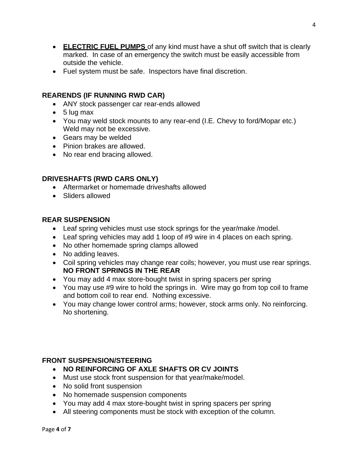- **ELECTRIC FUEL PUMPS** of any kind must have a shut off switch that is clearly marked. In case of an emergency the switch must be easily accessible from outside the vehicle.
- Fuel system must be safe. Inspectors have final discretion.

### **REARENDS (IF RUNNING RWD CAR)**

- ANY stock passenger car rear-ends allowed
- 5 lug max
- You may weld stock mounts to any rear-end (I.E. Chevy to ford/Mopar etc.) Weld may not be excessive.
- Gears may be welded
- Pinion brakes are allowed.
- No rear end bracing allowed.

### **DRIVESHAFTS (RWD CARS ONLY)**

- Aftermarket or homemade driveshafts allowed
- Sliders allowed

### **REAR SUSPENSION**

- Leaf spring vehicles must use stock springs for the year/make /model.
- Leaf spring vehicles may add 1 loop of #9 wire in 4 places on each spring.
- No other homemade spring clamps allowed
- No adding leaves.
- Coil spring vehicles may change rear coils; however, you must use rear springs. **NO FRONT SPRINGS IN THE REAR**
- You may add 4 max store-bought twist in spring spacers per spring
- You may use #9 wire to hold the springs in. Wire may go from top coil to frame and bottom coil to rear end. Nothing excessive.
- You may change lower control arms; however, stock arms only. No reinforcing. No shortening.

#### **FRONT SUSPENSION/STEERING**

- **NO REINFORCING OF AXLE SHAFTS OR CV JOINTS**
- Must use stock front suspension for that year/make/model.
- No solid front suspension
- No homemade suspension components
- You may add 4 max store-bought twist in spring spacers per spring
- All steering components must be stock with exception of the column.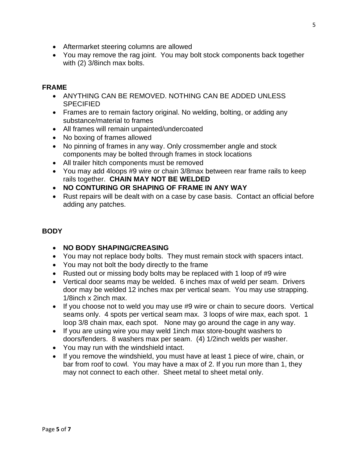- Aftermarket steering columns are allowed
- You may remove the rag joint. You may bolt stock components back together with (2) 3/8inch max bolts.

### **FRAME**

- ANYTHING CAN BE REMOVED. NOTHING CAN BE ADDED UNLESS SPECIFIED
- Frames are to remain factory original. No welding, bolting, or adding any substance/material to frames
- All frames will remain unpainted/undercoated
- No boxing of frames allowed
- No pinning of frames in any way. Only crossmember angle and stock components may be bolted through frames in stock locations
- All trailer hitch components must be removed
- You may add 4loops #9 wire or chain 3/8max between rear frame rails to keep rails together. **CHAIN MAY NOT BE WELDED**
- **NO CONTURING OR SHAPING OF FRAME IN ANY WAY**
- Rust repairs will be dealt with on a case by case basis. Contact an official before adding any patches.

## **BODY**

- **NO BODY SHAPING/CREASING**
- You may not replace body bolts. They must remain stock with spacers intact.
- You may not bolt the body directly to the frame
- Rusted out or missing body bolts may be replaced with 1 loop of #9 wire
- Vertical door seams may be welded. 6 inches max of weld per seam. Drivers door may be welded 12 inches max per vertical seam. You may use strapping. 1/8inch x 2inch max.
- If you choose not to weld you may use #9 wire or chain to secure doors. Vertical seams only. 4 spots per vertical seam max. 3 loops of wire max, each spot. 1 loop 3/8 chain max, each spot. None may go around the cage in any way.
- If you are using wire you may weld 1inch max store-bought washers to doors/fenders. 8 washers max per seam. (4) 1/2inch welds per washer.
- You may run with the windshield intact.
- If you remove the windshield, you must have at least 1 piece of wire, chain, or bar from roof to cowl. You may have a max of 2. If you run more than 1, they may not connect to each other. Sheet metal to sheet metal only.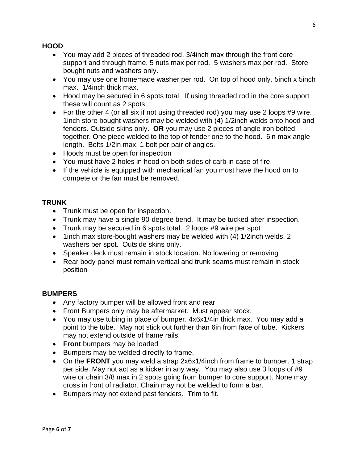### **HOOD**

- You may add 2 pieces of threaded rod, 3/4inch max through the front core support and through frame. 5 nuts max per rod. 5 washers max per rod. Store bought nuts and washers only.
- You may use one homemade washer per rod. On top of hood only. 5inch x 5inch max. 1/4inch thick max.
- Hood may be secured in 6 spots total. If using threaded rod in the core support these will count as 2 spots.
- For the other 4 (or all six if not using threaded rod) you may use 2 loops #9 wire. 1inch store bought washers may be welded with (4) 1/2inch welds onto hood and fenders. Outside skins only. **OR** you may use 2 pieces of angle iron bolted together. One piece welded to the top of fender one to the hood. 6in max angle length. Bolts 1/2in max. 1 bolt per pair of angles.
- Hoods must be open for inspection
- You must have 2 holes in hood on both sides of carb in case of fire.
- If the vehicle is equipped with mechanical fan you must have the hood on to compete or the fan must be removed.

#### **TRUNK**

- Trunk must be open for inspection.
- Trunk may have a single 90-degree bend. It may be tucked after inspection.
- Trunk may be secured in 6 spots total. 2 loops #9 wire per spot
- 1inch max store-bought washers may be welded with (4) 1/2inch welds. 2 washers per spot. Outside skins only.
- Speaker deck must remain in stock location. No lowering or removing
- Rear body panel must remain vertical and trunk seams must remain in stock position

## **BUMPERS**

- Any factory bumper will be allowed front and rear
- Front Bumpers only may be aftermarket. Must appear stock.
- You may use tubing in place of bumper. 4x6x1/4in thick max. You may add a point to the tube. May not stick out further than 6in from face of tube. Kickers may not extend outside of frame rails.
- **Front** bumpers may be loaded
- Bumpers may be welded directly to frame.
- On the **FRONT** you may weld a strap 2x6x1/4inch from frame to bumper. 1 strap per side. May not act as a kicker in any way. You may also use 3 loops of #9 wire or chain 3/8 max in 2 spots going from bumper to core support. None may cross in front of radiator. Chain may not be welded to form a bar.
- Bumpers may not extend past fenders. Trim to fit.